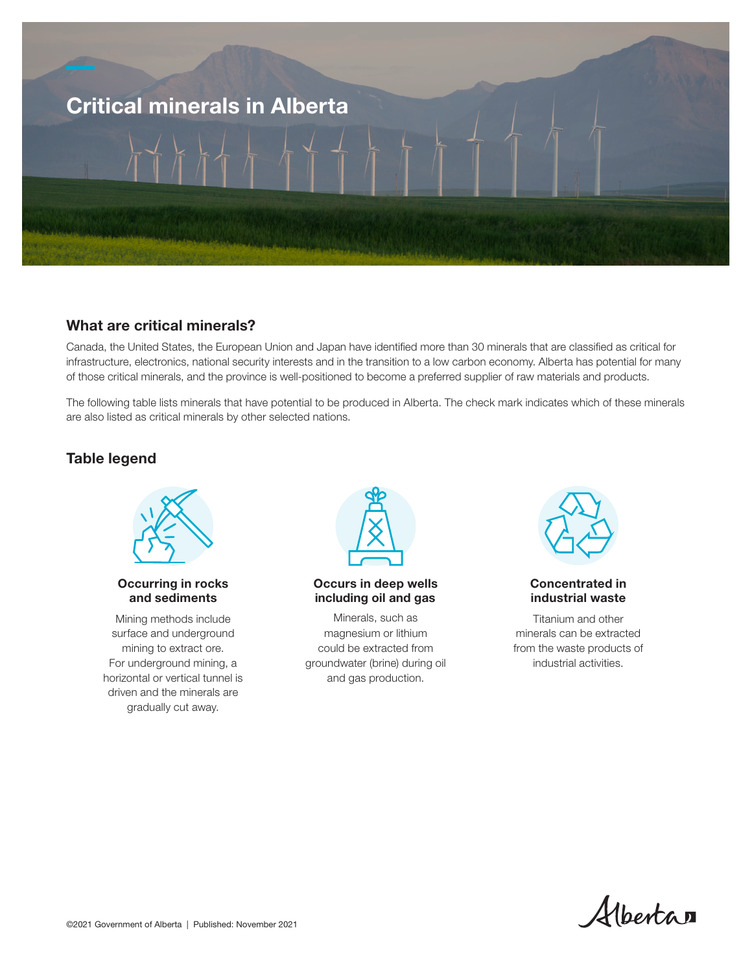

## What are critical minerals?

Canada, the United States, the European Union and Japan have identified more than 30 minerals that are classified as critical for infrastructure, electronics, national security interests and in the transition to a low carbon economy. Alberta has potential for many of those critical minerals, and the province is well-positioned to become a preferred supplier of raw materials and products.

The following table lists minerals that have potential to be produced in Alberta. The check mark indicates which of these minerals are also listed as critical minerals by other selected nations.

# Table legend



#### Occurring in rocks and sediments

Mining methods include surface and underground mining to extract ore. For underground mining, a horizontal or vertical tunnel is driven and the minerals are gradually cut away.



#### Occurs in deep wells including oil and gas

Minerals, such as magnesium or lithium could be extracted from groundwater (brine) during oil and gas production.



#### Concentrated in industrial waste

Titanium and other minerals can be extracted from the waste products of industrial activities.

Albertan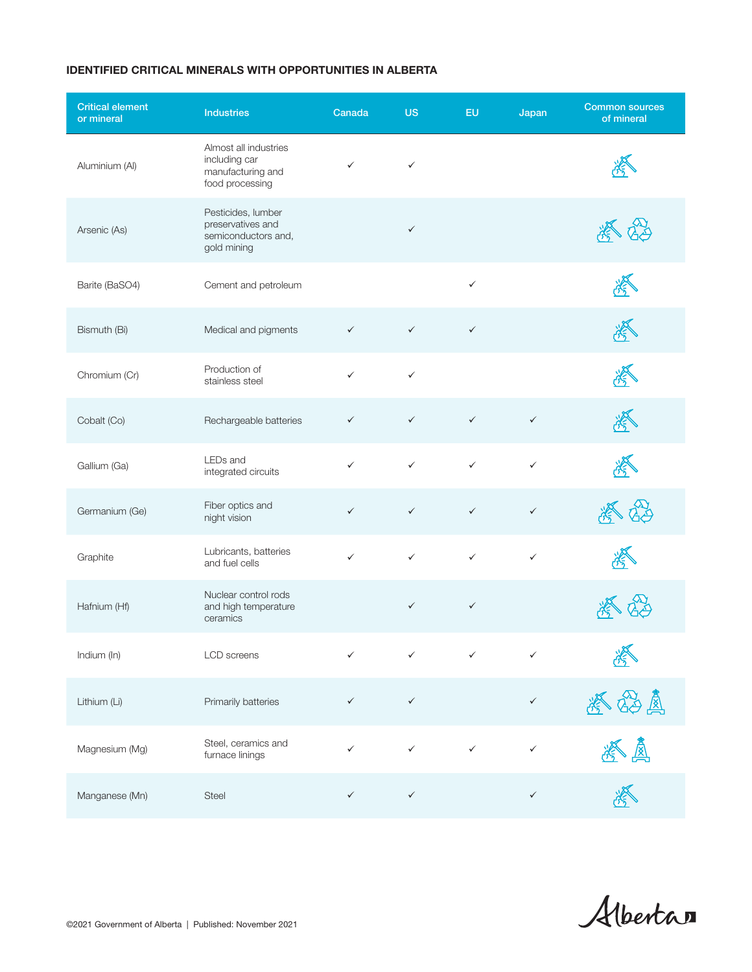### IDENTIFIED CRITICAL MINERALS WITH OPPORTUNITIES IN ALBERTA

| <b>Critical element</b><br>or mineral | <b>Industries</b>                                                              | Canada       | <b>US</b>    | EU           | Japan        | <b>Common sources</b><br>of mineral |
|---------------------------------------|--------------------------------------------------------------------------------|--------------|--------------|--------------|--------------|-------------------------------------|
| Aluminium (Al)                        | Almost all industries<br>including car<br>manufacturing and<br>food processing | $\checkmark$ | $\checkmark$ |              |              |                                     |
| Arsenic (As)                          | Pesticides, lumber<br>preservatives and<br>semiconductors and,<br>gold mining  |              | $\checkmark$ |              |              |                                     |
| Barite (BaSO4)                        | Cement and petroleum                                                           |              |              | $\checkmark$ |              |                                     |
| Bismuth (Bi)                          | Medical and pigments                                                           | $\checkmark$ | $\checkmark$ | $\checkmark$ |              |                                     |
| Chromium (Cr)                         | Production of<br>stainless steel                                               | $\checkmark$ | $\checkmark$ |              |              |                                     |
| Cobalt (Co)                           | Rechargeable batteries                                                         | $\checkmark$ | $\checkmark$ | $\checkmark$ | $\checkmark$ |                                     |
| Gallium (Ga)                          | LEDs and<br>integrated circuits                                                | $\checkmark$ | $\checkmark$ | $\checkmark$ | $\checkmark$ |                                     |
| Germanium (Ge)                        | Fiber optics and<br>night vision                                               | $\checkmark$ | $\checkmark$ | $\checkmark$ | $\checkmark$ |                                     |
| Graphite                              | Lubricants, batteries<br>and fuel cells                                        | $\checkmark$ | $\checkmark$ | $\checkmark$ | $\checkmark$ |                                     |
| Hafnium (Hf)                          | Nuclear control rods<br>and high temperature<br>ceramics                       |              | $\checkmark$ | $\checkmark$ |              |                                     |
| Indium (In)                           | LCD screens                                                                    | ✓            | ✓            | ✓            | ✓            |                                     |
| Lithium (Li)                          | Primarily batteries                                                            | $\checkmark$ | $\checkmark$ |              | $\checkmark$ | $\mathbb{Z}$                        |
| Magnesium (Mg)                        | Steel, ceramics and<br>furnace linings                                         | $\checkmark$ | $\checkmark$ | $\checkmark$ | $\checkmark$ | 圆                                   |
| Manganese (Mn)                        | Steel                                                                          | $\checkmark$ | $\checkmark$ |              | $\checkmark$ |                                     |